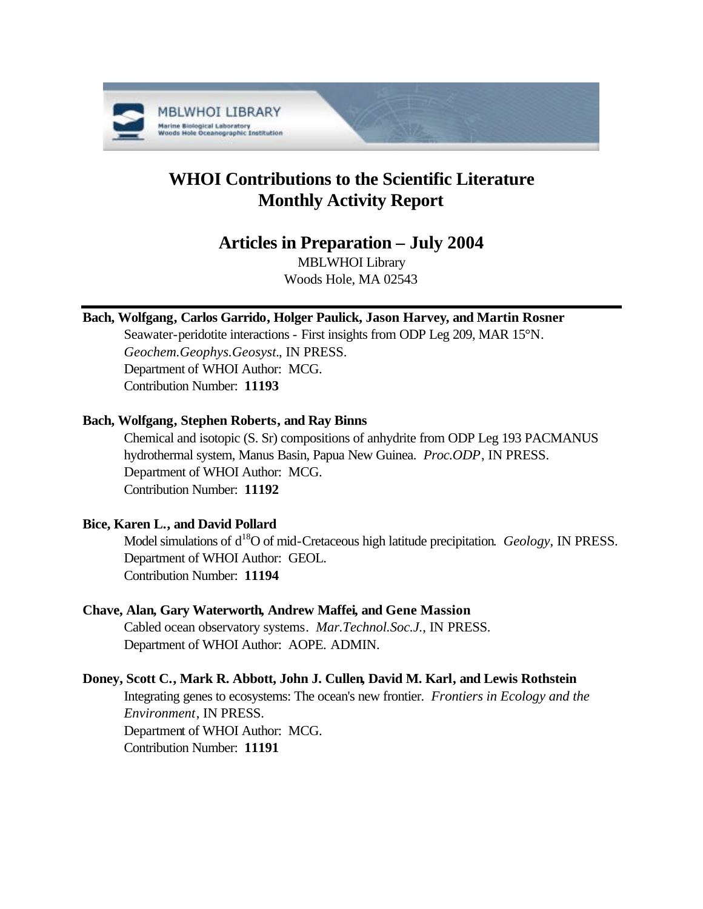

# **WHOI Contributions to the Scientific Literature Monthly Activity Report**

# **Articles in Preparation – July 2004**

MBLWHOI Library Woods Hole, MA 02543

# **Bach, Wolfgang, Carlos Garrido, Holger Paulick, Jason Harvey, and Martin Rosner**

Seawater-peridotite interactions - First insights from ODP Leg 209, MAR 15°N. *Geochem.Geophys.Geosyst.*, IN PRESS. Department of WHOI Author: MCG. Contribution Number: **11193**

#### **Bach, Wolfgang, Stephen Roberts, and Ray Binns**

Chemical and isotopic (S. Sr) compositions of anhydrite from ODP Leg 193 PACMANUS hydrothermal system, Manus Basin, Papua New Guinea. *Proc.ODP*, IN PRESS. Department of WHOI Author: MCG. Contribution Number: **11192**

# **Bice, Karen L., and David Pollard**

Model simulations of d<sup>18</sup>O of mid-Cretaceous high latitude precipitation. *Geology*, IN PRESS. Department of WHOI Author: GEOL. Contribution Number: **11194**

# **Chave, Alan, Gary Waterworth, Andrew Maffei, and Gene Massion**

Cabled ocean observatory systems. *Mar.Technol.Soc.J.*, IN PRESS. Department of WHOI Author: AOPE. ADMIN.

#### **Doney, Scott C., Mark R. Abbott, John J. Cullen, David M. Karl, and Lewis Rothstein**

Integrating genes to ecosystems: The ocean's new frontier. *Frontiers in Ecology and the Environment*, IN PRESS. Department of WHOI Author: MCG. Contribution Number: **11191**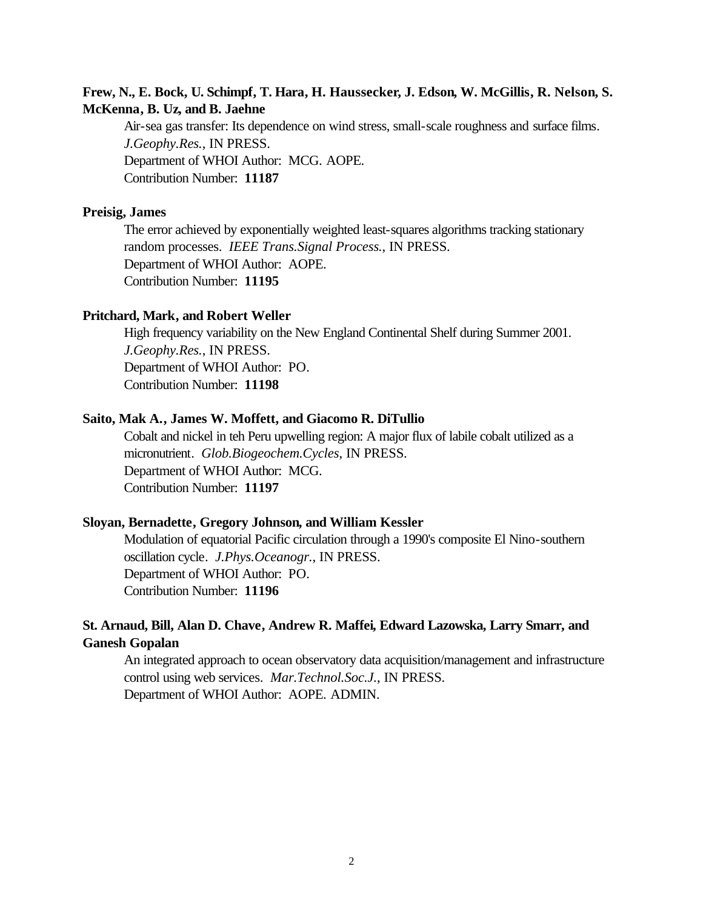#### **Frew, N., E. Bock, U. Schimpf, T. Hara, H. Haussecker, J. Edson, W. McGillis, R. Nelson, S. McKenna, B. Uz, and B. Jaehne**

Air-sea gas transfer: Its dependence on wind stress, small-scale roughness and surface films. *J.Geophy.Res.*, IN PRESS. Department of WHOI Author: MCG. AOPE. Contribution Number: **11187**

#### **Preisig, James**

The error achieved by exponentially weighted least-squares algorithms tracking stationary random processes. *IEEE Trans.Signal Process.*, IN PRESS. Department of WHOI Author: AOPE. Contribution Number: **11195**

#### **Pritchard, Mark, and Robert Weller**

High frequency variability on the New England Continental Shelf during Summer 2001. *J.Geophy.Res.*, IN PRESS. Department of WHOI Author: PO. Contribution Number: **11198**

#### **Saito, Mak A., James W. Moffett, and Giacomo R. DiTullio**

Cobalt and nickel in teh Peru upwelling region: A major flux of labile cobalt utilized as a micronutrient. *Glob.Biogeochem.Cycles*, IN PRESS. Department of WHOI Author: MCG. Contribution Number: **11197**

#### **Sloyan, Bernadette, Gregory Johnson, and William Kessler**

Modulation of equatorial Pacific circulation through a 1990's composite El Nino-southern oscillation cycle. *J.Phys.Oceanogr.*, IN PRESS. Department of WHOI Author: PO. Contribution Number: **11196**

# **St. Arnaud, Bill, Alan D. Chave, Andrew R. Maffei, Edward Lazowska, Larry Smarr, and Ganesh Gopalan**

An integrated approach to ocean observatory data acquisition/management and infrastructure control using web services. *Mar.Technol.Soc.J.*, IN PRESS. Department of WHOI Author: AOPE. ADMIN.